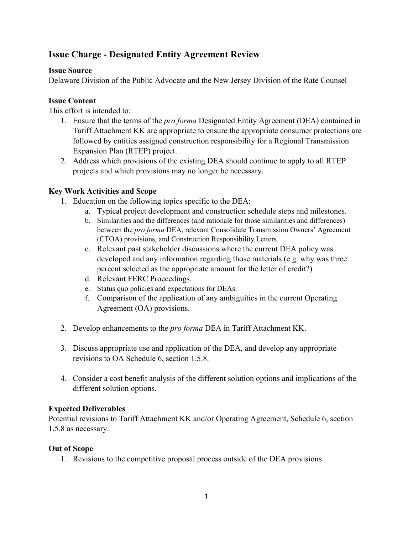# **Issue Charge - Designated Entity Agreement Review**

#### **Issue Source**

Delaware Division of the Public Advocate and the New Jersey Division of the Rate Counsel

#### **Issue Content**

This effort is intended to:

- 1. Ensure that the terms of the *pro forma* Designated Entity Agreement (DEA) contained in Tariff Attachment KK are appropriate to ensure the appropriate consumer protections are followed by entities assigned construction responsibility for a Regional Transmission Expansion Plan (RTEP) project.
- 2. Address which provisions of the existing DEA should continue to apply to all RTEP projects and which provisions may no longer be necessary.

### **Key Work Activities and Scope**

- 1. Education on the following topics specific to the DEA:
	- a. Typical project development and construction schedule steps and milestones.
	- b. Similarities and the differences (and rationale for those similarities and differences) between the *pro forma* DEA, relevant Consolidate Transmission Owners' Agreement (CTOA) provisions, and Construction Responsibility Letters.
	- c. Relevant past stakeholder discussions where the current DEA policy was developed and any information regarding those materials (e.g. why was three percent selected as the appropriate amount for the letter of credit?)
	- d. Relevant FERC Proceedings.
	- e. Status quo policies and expectations for DEAs.
	- f. Comparison of the application of any ambiguities in the current Operating Agreement (OA) provisions.
- 2. Develop enhancements to the *pro forma* DEA in Tariff Attachment KK.
- 3. Discuss appropriate use and application of the DEA, and develop any appropriate revisions to OA Schedule 6, section 1.5.8.
- 4. Consider a cost benefit analysis of the different solution options and implications of the different solution options.

### **Expected Deliverables**

Potential revisions to Tariff Attachment KK and/or Operating Agreement, Schedule 6, section 1.5.8 as necessary.

#### **Out of Scope**

1. Revisions to the competitive proposal process outside of the DEA provisions.